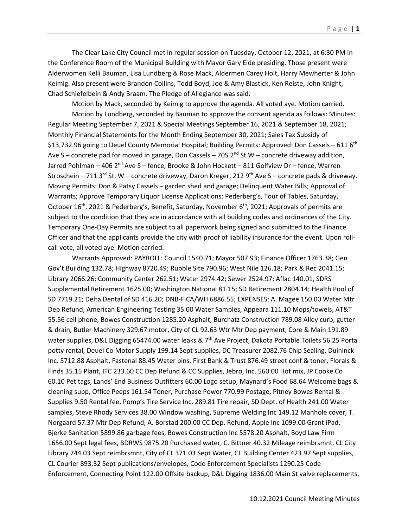The Clear Lake City Council met in regular session on Tuesday, October 12, 2021, at 6:30 PM in the Conference Room of the Municipal Building with Mayor Gary Eide presiding. Those present were Alderwomen Kelli Bauman, Lisa Lundberg & Rose Mack, Aldermen Carey Holt, Harry Mewherter & John Keimig. Also present were Brandon Collins, Todd Boyd, Joe & Amy Blastick, Ken Reiste, John Knight, Chad Schiefelbein & Andy Braam. The Pledge of Allegiance was said.

Motion by Mack, seconded by Keimig to approve the agenda. All voted aye. Motion carried.

Motion by Lundberg, seconded by Bauman to approve the consent agenda as follows: Minutes: Regular Meeting September 7, 2021 & Special Meetings September 16, 2021 & September 18, 2021; Monthly Financial Statements for the Month Ending September 30, 2021; Sales Tax Subsidy of \$13,732.96 going to Deuel County Memorial Hospital; Building Permits: Approved: Don Cassels – 611 6<sup>th</sup> Ave S – concrete pad for moved in garage, Don Cassels – 705  $2<sup>nd</sup>$  St W – concrete driveway addition, Jarred Pohlman – 406 2<sup>nd</sup> Ave S – fence, Brooke & John Hockett – 811 Golfview Dr – fence, Warren Stroschein – 711 3<sup>rd</sup> St. W – concrete driveway, Daron Kreger, 212 9<sup>th</sup> Ave S – concrete pads & driveway. Moving Permits: Don & Patsy Cassels – garden shed and garage; Delinquent Water Bills; Approval of Warrants; Approve Temporary Liquor License Applications: Pederberg's, Tour of Tables, Saturday, October 16<sup>th</sup>, 2021 & Pederberg's, Benefit, Saturday, November 6<sup>th</sup>, 2021; Approvals of permits are subject to the condition that they are in accordance with all building codes and ordinances of the City. Temporary One-Day Permits are subject to all paperwork being signed and submitted to the Finance Officer and that the applicants provide the city with proof of liability insurance for the event. Upon rollcall vote, all voted aye. Motion carried.

Warrants Approved: PAYROLL: Council 1540.71; Mayor 507.93; Finance Officer 1763.38; Gen Gov't Building 132.78; Highway 8720.49; Rubble Site 790.96; West Nile 126.18; Park & Rec 2041.15; Library 2066.26; Community Center 262.51; Water 2974.42; Sewer 2524.97; Aflac 140.01, SDRS Supplemental Retirement 1625.00; Washington National 81.15; SD Retirement 2804.14; Health Pool of SD 7719.21; Delta Dental of SD 416.20; DNB-FICA/WH 6886.55; EXPENSES: A. Magee 150.00 Water Mtr Dep Refund, American Engineering Testing 35.00 Water Samples, Appeara 111.10 Mops/towels, AT&T 55.56 cell phone, Bowes Construction 1285.20 Asphalt, Burchatz Construction 789.08 Alley curb, gutter & drain, Butler Machinery 329.67 motor, City of CL 92.63 Wtr Mtr Dep payment, Core & Main 191.89 water supplies, D&L Digging 65474.00 water leaks & 7<sup>th</sup> Ave Project, Dakota Portable Toilets 56.25 Porta potty rental, Deuel Co Motor Supply 199.14 Sept supplies, DC Treasurer 2082.76 Chip Sealing, Duininck Inc. 5712.88 Asphalt, Fastenal 88.45 Water bins, First Bank & Trust 876.49 street conf & toner, Florals & Finds 35.15 Plant, ITC 233.60 CC Dep Refund & CC Supplies, Jebro, Inc. 560.00 Hot mix, JP Cooke Co 60.10 Pet tags, Lands' End Business Outfitters 60.00 Logo setup, Maynard's Food 68.64 Welcome bags & cleaning supp, Office Peeps 161.54 Toner, Purchase Power 770.99 Postage, Pitney Bowes Rental & Supplies 9.50 Rental fee, Pomp's Tire Service Inc. 289.81 Tire repair, SD Dept. of Health 241.00 Water samples, Steve Rhody Services 38.00 Window washing, Supreme Welding Inc 149.12 Manhole cover, T. Norgaard 57.37 Mtr Dep Refund, A. Borstad 200.00 CC Dep. Refund, Apple Inc 1099.00 Grant iPad, Bjerke Sanitation 5899.86 garbage fees, Bowes Construction Inc 5578.20 Asphalt, Boyd Law Firm 1656.00 Sept legal fees, BDRWS 9875.20 Purchased water, C. Bittner 40.32 Mileage reimbrsmnt, CL City Library 744.03 Sept reimbrsmnt, City of CL 371.03 Sept Water, CL Building Center 423.97 Sept supplies, CL Courier 893.32 Sept publications/envelopes, Code Enforcement Specialists 1290.25 Code Enforcement, Connecting Point 122.00 Offsite backup, D&L Digging 1836.00 Main St valve replacements,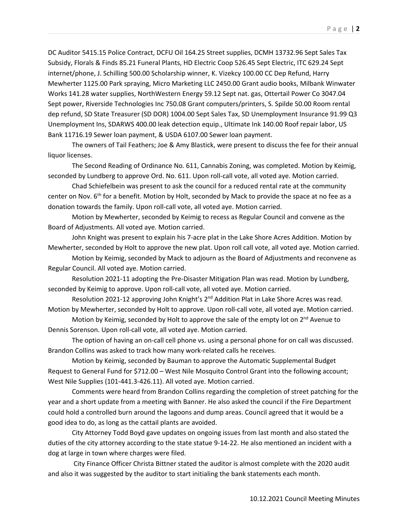DC Auditor 5415.15 Police Contract, DCFU Oil 164.25 Street supplies, DCMH 13732.96 Sept Sales Tax Subsidy, Florals & Finds 85.21 Funeral Plants, HD Electric Coop 526.45 Sept Electric, ITC 629.24 Sept internet/phone, J. Schilling 500.00 Scholarship winner, K. Vizekcy 100.00 CC Dep Refund, Harry Mewherter 1125.00 Park spraying, Micro Marketing LLC 2450.00 Grant audio books, Milbank Winwater Works 141.28 water supplies, NorthWestern Energy 59.12 Sept nat. gas, Ottertail Power Co 3047.04 Sept power, Riverside Technologies Inc 750.08 Grant computers/printers, S. Spilde 50.00 Room rental dep refund, SD State Treasurer (SD DOR) 1004.00 Sept Sales Tax, SD Unemployment Insurance 91.99 Q3 Unemployment Ins, SDARWS 400.00 leak detection equip., Ultimate Ink 140.00 Roof repair labor, US Bank 11716.19 Sewer loan payment, & USDA 6107.00 Sewer loan payment.

The owners of Tail Feathers; Joe & Amy Blastick, were present to discuss the fee for their annual liquor licenses.

The Second Reading of Ordinance No. 611, Cannabis Zoning, was completed. Motion by Keimig, seconded by Lundberg to approve Ord. No. 611. Upon roll-call vote, all voted aye. Motion carried.

Chad Schiefelbein was present to ask the council for a reduced rental rate at the community center on Nov. 6<sup>th</sup> for a benefit. Motion by Holt, seconded by Mack to provide the space at no fee as a donation towards the family. Upon roll-call vote, all voted aye. Motion carried.

Motion by Mewherter, seconded by Keimig to recess as Regular Council and convene as the Board of Adjustments. All voted aye. Motion carried.

John Knight was present to explain his 7-acre plat in the Lake Shore Acres Addition. Motion by Mewherter, seconded by Holt to approve the new plat. Upon roll call vote, all voted aye. Motion carried.

Motion by Keimig, seconded by Mack to adjourn as the Board of Adjustments and reconvene as Regular Council. All voted aye. Motion carried.

Resolution 2021-11 adopting the Pre-Disaster Mitigation Plan was read. Motion by Lundberg, seconded by Keimig to approve. Upon roll-call vote, all voted aye. Motion carried.

Resolution 2021-12 approving John Knight's  $2^{nd}$  Addition Plat in Lake Shore Acres was read. Motion by Mewherter, seconded by Holt to approve. Upon roll-call vote, all voted aye. Motion carried.

Motion by Keimig, seconded by Holt to approve the sale of the empty lot on  $2^{nd}$  Avenue to Dennis Sorenson. Upon roll-call vote, all voted aye. Motion carried.

The option of having an on-call cell phone vs. using a personal phone for on call was discussed. Brandon Collins was asked to track how many work-related calls he receives.

Motion by Keimig, seconded by Bauman to approve the Automatic Supplemental Budget Request to General Fund for \$712.00 – West Nile Mosquito Control Grant into the following account; West Nile Supplies (101-441.3-426.11). All voted aye. Motion carried.

Comments were heard from Brandon Collins regarding the completion of street patching for the year and a short update from a meeting with Banner. He also asked the council if the Fire Department could hold a controlled burn around the lagoons and dump areas. Council agreed that it would be a good idea to do, as long as the cattail plants are avoided.

 City Attorney Todd Boyd gave updates on ongoing issues from last month and also stated the duties of the city attorney according to the state statue 9-14-22. He also mentioned an incident with a dog at large in town where charges were filed.

City Finance Officer Christa Bittner stated the auditor is almost complete with the 2020 audit and also it was suggested by the auditor to start initialing the bank statements each month.